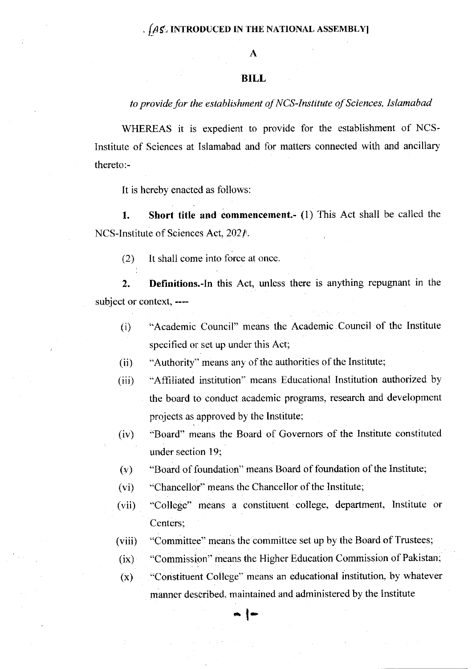## .  $f_A f$  introduced in the national assembly

## BILL

## to provide for the establishment of NCS-Institute of Sciences, Islamabad

WHEREAS it is expedient to provide for the establishment of NCS-Institute of Sciences at Islamabad and for matters connected with and ancillary thereto:-

It is hereby enacted as follows:

l. Short title and commencement.- (1) This Act shall be called the NCS-Institute of Sciences Act, 2021.

 $(2)$  It shall come into force at once.

2. Definitions.-In this Act, unless there is anything repugnant in the subject or context, ----

- (i) "Academic Council" means the Academic Council of the Institute specified or set up under this Act;
- (ii) "Authority" means any of the authorities of the Institute;
- (iii) "Affiliated institution'' means Educational Institution authorized by the board to conduct academic programs, research and development projects as approved by the Institute;
- (iv) "Board" means the Board of Govemors of the Institute constituted under section 19:
- (v) "Board of foundation" means Board of foundation of the Institute;
- (vi) ''Chancellor" means the Chancellor of the Institute;
- (vii) "College" means a constituent college, department, Institute or Centers;
- (viii) "Committee" means the committee set up by the Board of Trustees;
- (ix) "Commission" means the Higher Education Commission of Pakistan;
- (x) "Constituent College" means an educational institution. hy whatever

manner described. maintained and administered by the Institute

 $\overline{\phantom{a}}$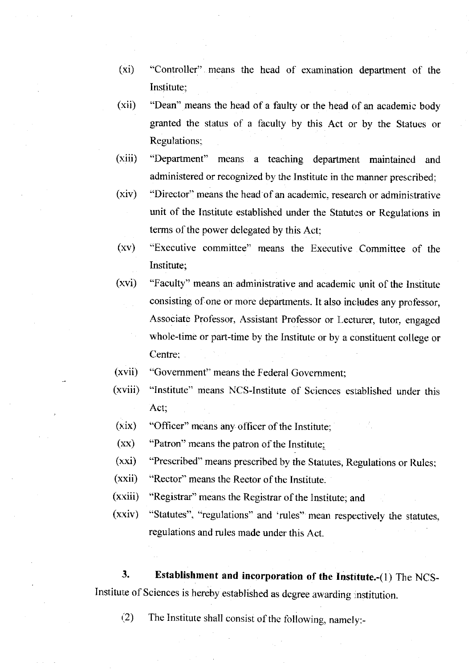- (xi) "Controller" means the head of examination department of the Institute;
- (xii) "Dean" means the head of a faulty or the head of an academic body granted the status of a faculty by this Act or by the Statues or Regulations;
- $(xiii)$ "Department" means a teaching departmerrt maintained and administered or recognized by the Institute in the manner prescribed;
- $(xiv)$ "Director" means the head of an academic. research or administrative unit of the Institute established under the Statutes or Regulations in terms of the power delegated by this Act;
- $(xv)$ "Executive committee" means the Executive Committee of the Institute;
- (xvi) "Faculty" means an administrative and academic unit of the Institute consisting of one or more departments. It also includes any professor, Associate Professor, Assistant Professor or Lecturer, tutor, engaged whole-time or part-time by the Institute or by a constituent college or Centre:
- (xvii) "Government" means the Federal Govemment;
- $(xviii)$ "Institute" means NCS-Institure of Sciences established under this Act;
- (xix) "Officer" means any officer of the Institute;
- $(xx)$ "Patron" means the patron of the Institute:
- $(xxi)$ "Prescribed" means prescribed by the Statutes, Regulations or Rules;
- (xxii) "Rector" means the Rector of the Institute.
- $(xxiii)$ "Registrar" means the Registrar of the Institute; and
- $(xxiv)$ "Statutes", "regulations" and 'rules" mean respectively the statutes, regulations and rules made under this Act.

3. Establishment and incorporation of the Institute.-(1) The NCS-Institute of Sciences is hereby established as degree awarding institution.

(2) The Institute shall consist of the following, namely:-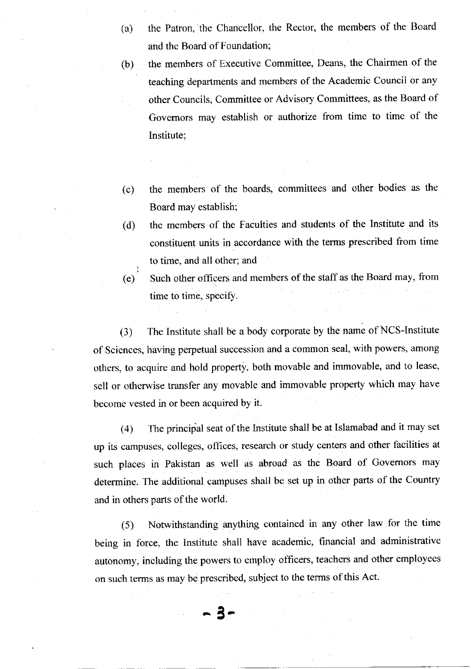- (a) the Patron, the Chancellor, the Rector, the members of the Board and the Board of Foundation;
- (b) the members of Executive Committee, Deans, the Chairmen of the teaching departments and members of the Academic Council or any other Councils, Committee or Advisory Committees, as the Board of Govemors may establish or authorize from time to time of the Institute;
- (c) the members of the boards. committees and other bodies as the Board may establish;
- the members of the Faculties and students of the Institute and its constituent units in accordance with the terms prescribed from time to time, and all other; and (d)

Such other officers and members of the staff as the Board may, from time to time, specify. (e)

(3) The Institute shall be a body corporate by the name of NCS-Institute of Sciences, having perpetual succession and a common seal, with powers, among others, to acquire and hold property. both movable and immovable, and to lease, sell or otherwise transfer any movable and immovable property which may have become vested in or been acquired by it.

(4) The principal seat of the lnstitute shall be at Islamabad and it may set up its campuses, colleges, ofhces, research or study centers and other facilities at such places in Pakistan as well as abroad as the Board of Govemors may determine. The additional campuses shail be set up in other parts of the Country and in others parts of the world.

(5) Notwithstanding anything contained in any other law for the time being in force, the Institute shall have academic, financial and administrative autonomy, including the powers to employ officers, teachers and other employees on such terms as may be prescribed, subject to the terms of this Act.

5-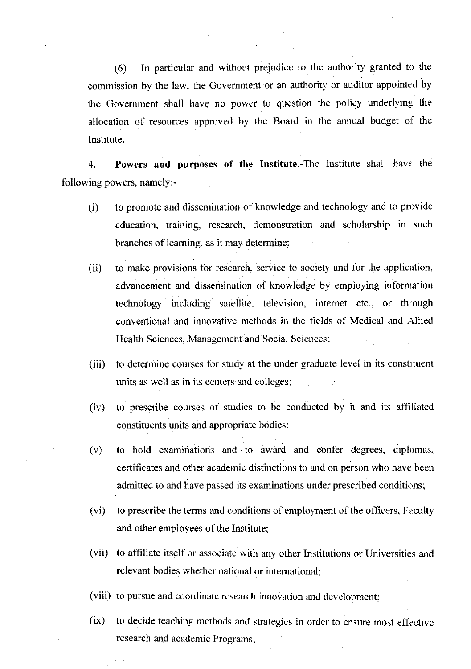(6) In particular and without preiudice to the authority granted to the commission by the law, the Government or an authority or auditor appointed by the Government shall have no power to question the policy underlying the allocation of resources approved by the Board in the annual budget of the Institute.

4. Powers and purposes of the Institute.-The Institute shall have the following powers, namely:-

- (i) to promote and dissemination of knowledge and technology and to provide education, training, research. demonstration and scholarship in such branches of learning, as it may determine;
- (ii) to make provisions for research, service to society and for the application. advancement and dissemination of knowledge by employing information technology including satellite. television, intemet etc., or through conventional and innovative methods in the fields of Medical and Allied Health Sciences. Management and Social Sciences;
- (iii) to determine courses for study at the under graduate level in its constituent units as well as in its centers and colleges;
- (iv) to prescribe courses of studies to be conducted by it. and its affiliated constituents units and appropriate bodies;
- (v) to hold examinations and to award and confer <legrees, dipbmas, certificates and other academio distinctions to and on person who have been admitted to and have passed its examinations under prescribed conditions;
- (vi) to prescribe the terms and conditions of employment of the offrcers, Faculty and other employees of the Institute;
- (vii) to affiliate itself or associate with any other Institutions or Universities and relevant bodies whether national or international;
- (viii) to pursue and coordinate research innovation and development;
- $(ix)$  to decide teaching methods and strategies in order to ensure most effective research and academic Programs;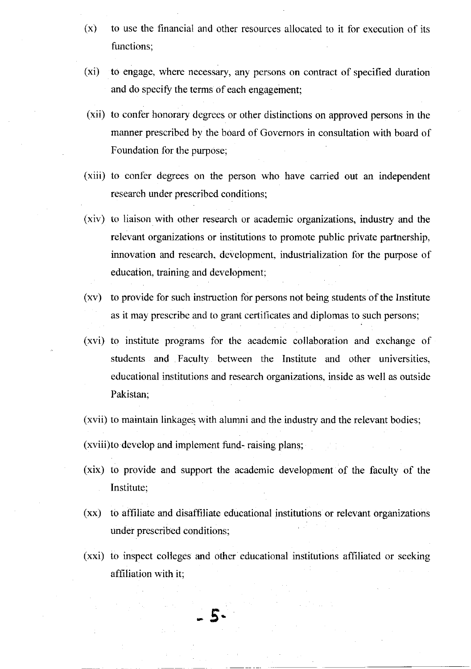- (x) to use the financial and other resources allocated to it for execution of its functions;
- (xi) to engage, where necessary, any persons on contract of specified duration and do specify the terms of each engagement;
- (xii) to confer honorary degrees or other distinctions on approved persons in the manner prescribed by the board of Govemors in consultation with board of Foundation for the purpose:
- (xiii) to confer degrees on the person who have carried out an independent research under prescribed conditions;
- (xiv) to liaison with other research or academic organizations, industry and the relevant organizations or institutions to promote public private partnership. innovation and research, development, industrialization for the purpose of education, training and development;
- (xv) to provide for such instruction for persons not being students of the Institute as it may prescribe and to grant certificates and diplomas to such persons;
- (xvi) to institute programs for the academic collaboration and exchange of students and Faculty between the Institute and other universities, educational institutions and research organizations, inside as well as outside Pakistan;
- (xvii) to maintain linkages with alumni and the industry and the relevant bodies;

(xviii)to develop and implement fund- raising plans;

- (xix) to provide and support the academic development of the faculty of the Institute;
- (xx) to affiliate and disaffiliate educational institutions or relevant organizations under prescribed conditions;
- (xxi) to inspect colleges and other educational institutions affiliated or seeking affiliation with it;

 $\boldsymbol{\zeta}$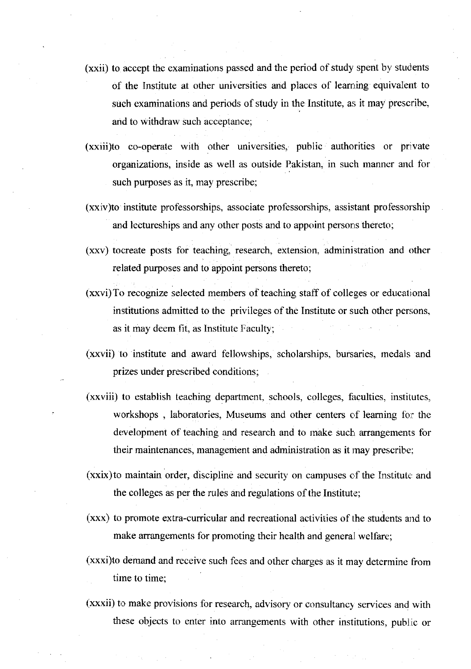- (xxii) to accept the examinations passed and the period of study spent by students of the Institute at other universities and places of learning equivalent to such examinations and periods of study in the Institute, as it may prescribe, and to withdraw such acceptance;
- (xxiii)to co-operate with other universities, public authorities or private organizations, inside as well as outside Pakistan, in such manner and for such purposes as it, may prescribe;
- (xxiv)to institute professorships, associate professorships, assistant professorship and lectureships and any other posts and to appoint persons thereto;
- (xxv) tocreate posts for teaching, research, extension, administration and other related purposes and to appoint persons thereto;
- (xxvi)To recognize selected members of teaching staff of colleges or educatjonal institutions admitted to the privileges of the Institute or such other persons, as it may deem fit, as lnstitute Faculty;
- (xxvii) to institute and award fellowships, scholarships, bursaries, medals and prizes under prescribed conditions;
- (xxviii) to establish teaching department, schools, colleges, faculties, institutes, workshops, laboratories, Museums and other centers of learning for the development of teaching and research and to make such arrangements for their maintenances, management and administration as it may prescribe;
- $(xxix)$  to maintain order, discipline and security on campuses of the Institute and the colleges as per the rules and regulations of the Institute;
- (xxx) to promote extra-curricular and recreational activities of the students and to make arrangements for promoting their health and general welfare;
- (xxxi)to demand and receive such fees and other charges as it may determine from time to time;
- (xxxii) to make provisions for research, advisory or consultancy services and with these objects to enter into arrangements with other institutions, public or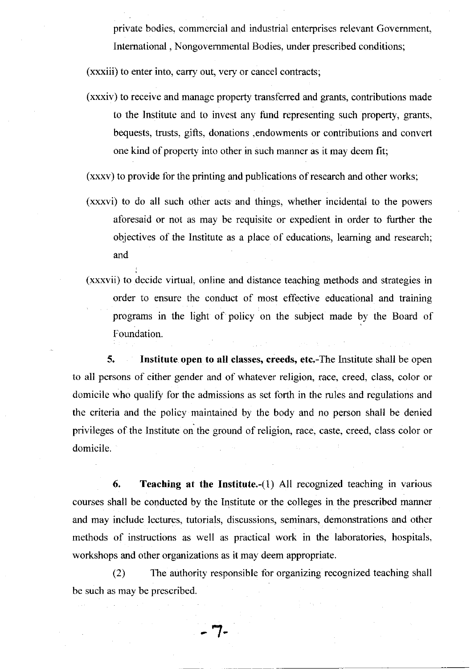private bodies, commercial and industrial enterprises relevant Govemment, Intemational , Nongovemmental Bodies, under prescribed conditions;

(xxxiii) to enter into, carry out, very or cancel contracts;

(xxxiv) to receive and manage property transferred and grants, contributions made to the Institute and to invest any fund representing such property, grants, bequests, trusts, gifts, donations ,endowments or contributions and convert one kind of property into other in such manner as it may deem fit;

(xxxv) to provide for the printing and publications of research and other works;

- (xxxvi) to do all such other acts and things, whether incidental to the powers aforesaid or not as may be requisite or expedient in order to further the objectives of the Institute as a place of educations, leaming and research; and
- (xxxvii) to decide virtual, online and distance teaching methods and strategies in order to ensure the conduct of most effective educational and training programs in the light of policy on the subject made by the Board of Foundation.

5. Institute open to all classes, creeds, etc.-The Institute shall be open to all persons of either gender and of whatever religion, race, creed, class, color or domicile who qualify for the admissions as set forth in the rules and regulations and the criteria and the policy maintained by the body and no person shall be denied privileges of the Institute on the ground of religion, race, caste, creed, class color or domicile.

6. Teaching at the Institute.- $(i)$  All recognized teaching in various courses shall be conducted by the Institute or the colleges in the prescribed manner and may include lectures, futorials, discussions, seminars, demonstrations and other methods of instructions as well as practical work in the laboratories, hospitals, workshops and other organizations as it may deem appropriate.

(2) The authority responsible for organizing recognized teaching shall be such as may be prescribed.

7-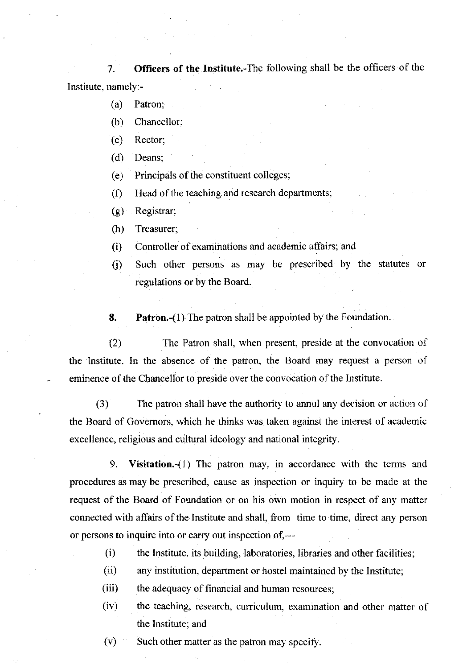7. Officers of the Institute.-The following shall be the officers of the Institute, namely:-

- (a) Patron:
- $(b)$  Chancellor;
- $(c)$  Rector:
- $(d)$  Deans;

 $(e)$  Principals of the constituent colleges;

 $(f)$  Head of the teaching and research departments;

<sup>G</sup>) Registrar;

(h) Treasurer;

- (i) Controller of exaniinations and academic affairs; an<l
- 0) Such other persens as may be prescribed by the statutes or regulations or by the Board.

**8.** Patron.-(1) The patron shall be appointed by the Foundation.

(2) The Patron shall, when present, preside at the convocation of the Institute. In the absence of the patron, the Board may request a person of eminence of the Chancellor to preside over the convocation of the Institute.

(3) The patron shall have the authority to annul any decision or action of the Board of Governors, which he thinks was taken against the interest of academic excellence, religious and cultural ideology and national integrity.

9. Visitation.-(1) The patron may, in accordance with the terms and procedures as may be prescribed, cause as inspection or inquiry to be made at the request of the Board of Foundation or on his own motion in respect of any matter connected with affairs of the Institute and shall, from time to time, direct any person or persons to inquire into or carry out inspection of,---

- (i) the Institute, its building, laboratories, libraries and other facilities;
- (ii) any institution, department or hostel maintained by the Institute;
- (iii) the adequacy of financial and human resources;
- (iv) the teaching, research, curriculum, examination and other matter of the Institute; and
- $(v)$  Such other matter as the patron may specify.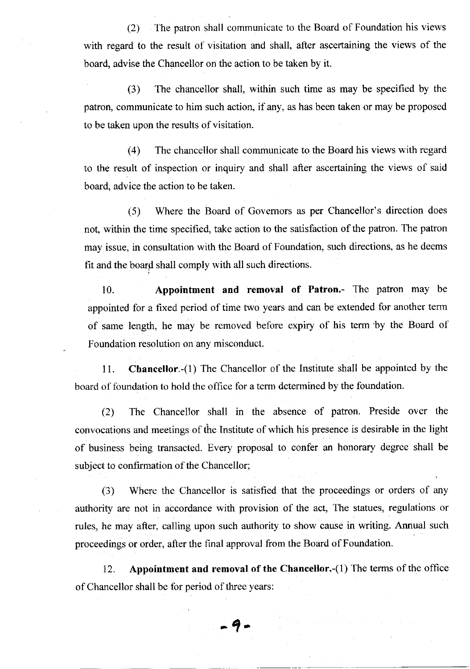(2) The patron shall communicate to the Board of Foundation his views with regard to the result of visitation and shall, after ascertaining the views of the board, advise the Chancellor on the action to be taken by it.

(3) The chancellor shall, within such time as may be specified by the patron, communicate to him such action, if any, as has been taken or may be proposed to be taken upon the results of visitation.

(4) The chancellor shall communicate to the Board his views with regard to the result of inspection or inquiry and shall after ascertaining the views of said board, advice the action to be taken.

(5) Where the Board of Govemors as per Chancellor's direction does not, within the time specified, take action to the satisfaction of the patron. The patron may issue, in consultation with the Board of Foundation, such directions, as he deems fit and the board shall comply with all such directions.

10. Appointment and removal of Patron.- The patron may be appointed for a fixed period of time two years and can be extended for another term of same length, he may be removed before expiry of his term 'by the Board of Foundation resolution on any misconduct.

11. Chancellor.-(1) The Chancellor of the Institute shall be appointed by the board of foundation to hold the office for a term determined by the foundation.

(.2) The Chancellor shall in the absence of patron. Preside over the convocations and meetings of the Institute of which his presence is desirable in the light of business being transacted. Every proposal to confer an honorary degree shall be subject to confirmation of the Chancellor;

(3) Where the Chancellor is satisfied that the proceedings or orders of any authority are not in accordance with provision of the act, The statues, regulations or rules, he may after, calling upon such authority to show cause in writing. Annual such proceedings or order, after the final approval from the Board of Foundation.

12. Appointment and removal of the Chancellor.-(1) The terms of the office of Chancellor shall be for period of three years:

 $-9-$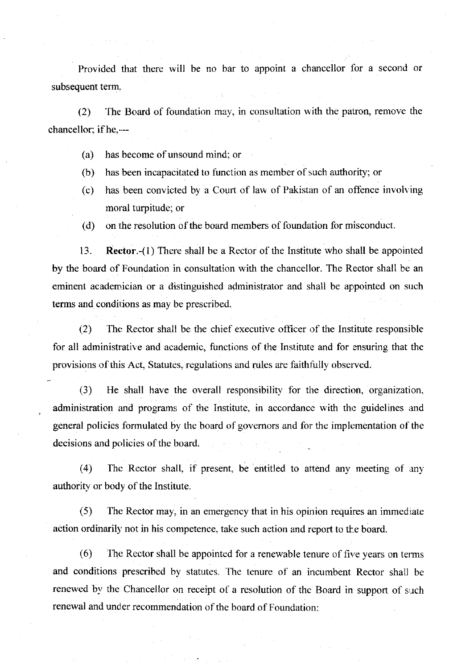Provided that there will be no bar to appoint a chancellor for a second or subsequent term.

 $(2)$  The Board of foundation may, in consultation with the patron, remove the chancellor; if he,---

- (a) has become of unsound mind; or
- (b) has been incapacitated to function as member of such authority; or
- (c) has been convicted by a Court of law of Pakistan of an offence involving moral turpitude; or
- (d) on the resolution of the board members of foundation for misconduct.

13. **Rector.-(1)** There shall be a Rector of the Institute who shall be appointed by the board of Foundation in consultation with the chancellor. The Rector shall be an eminent academician or a distinguished administrator and shall be appointed on such terms and conditions as may be prescribed.

(2) The Rector shall be the chief executive officer of the Institute responsible for all administrative and academic, functions of the Institute and for ensuring that the provisions of this Act, Statutes, regulations and rules are faithfully observed.

(3) He shall have the overall responsibility for the direction, organization. administration and programs of the Institute, in accordance with the guidelines and general policies formulated by the board of governors and for the implementation of the decisions and policies of the board.

(4) The Rector shall, if present, be entitled to attend any meeting of any authority or body of the Institute.

(5) The Rector may, in an emergency that in his opinion requires an immedrate action ordinarily not in his competence, take such action and report to the board.

 $(6)$  The Rector shall be appointed for a renewable tenure of five years on terms and conditions prescribed by statutes. The tenure of an incumbent Rector shall be renewed by the Chancellor on receipt of a resolution of the Board in support of such renewal and under recommendation of the board of Foundation: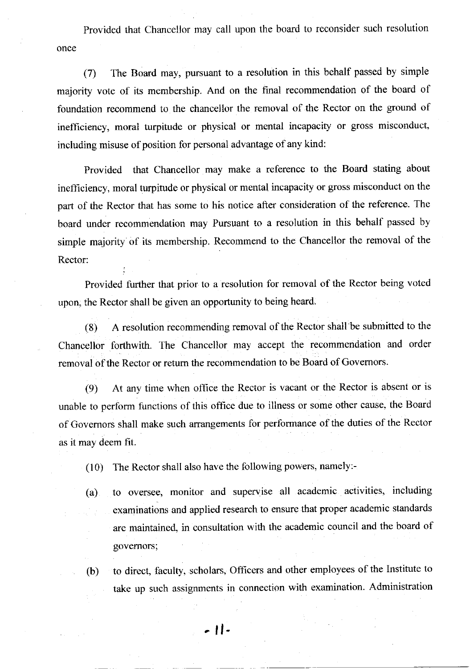Provided that Chancellor may call upon the board to reconsider such resolution once

(7) The Board may, pursuant to a resolution in this behalf passed by simple majority vote of its membership. And on the final recommendation of the board of foundation recommend to the chancellor the removal of the Rector on the ground of inefficiency, moral turpitude or physical or mental incapacity or gross misconduct, including misuse of position for personal advantage of any kind:

Provided that Chancellor may make a reference to the Board stating about inefficiency, moral turpitude or physical or mental incapacity or gross misconduct on the part of the Rector that has some to his notice alter consideration of the reference. The board under recommendation may Pursuant to a resolution in this behalf passed by simple majority of its membership. Recommend to the chancellor the removal of the Rector:

Provided further that prior to a resolution for removal of the Rector being voted upon, the Rector shall be given an opportunity to being heard.

(8) <sup>A</sup>resolution recommending removal of the Rector shall be submitted to the Chancellor forthwith. The Chancellor may accept the recommendation and order removal of the Rector or retum the recommendation to be Board of Govemors.

(9) At any time when office the Rector is vacant or the Rector is absent or is unable to perform functions of this office due to illness or some other cause, the Board of Govemors shall make such arrangements for performance of the duties of the Rector as it may deem fit.

(10) The Rector shall also have the following powers, namely:-

- (a) to oversee, monitor and supervise all academic activities, including examinations and applied research to ensure that proper academic standards are maintained, in consultation with the academic council and the board of govemors;
- (b) to direct, faculty, scholars, Officers and other employees of the Institute to take up such assignments in connection with examination. Administration

- ll-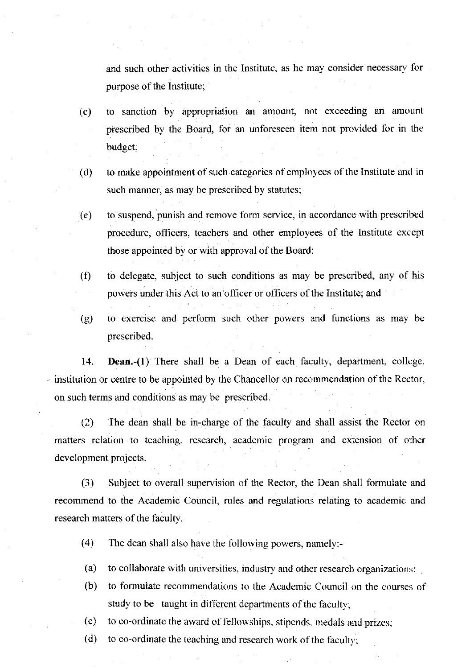and such other activities in the Institute, as he may consicler necessarv for purpose of the Institute;

- (c) to sanction by appropriation an amount, not exceeding an amount prescribed by the Board. for an unforeseen item not prcvided for in the budget:
- (d) to make appointment of such categories of employees of the Institute and in such manner, as may be prescribed by statutes;
- (e) to suspend, punish and remove form service, in accordance with prescribed procedure, officers, teachers and other employees of the Institute except those appointed by or with approval of the Board;
- $(0)$  to delegate, subject to such conditions as may be prescribed, any of his powers under this Act to an officer or officers of the Institute; and
- G) to exercise and perlorm such other powers and functions as may be prescribed.

14. **Dean.-(1)** There shall be a Dean of each faculty, department, college,  $-$  institution or centre to be appointed by the Chancellor on recommendation of the Rector, on such terms and conditions as may be prescribed.

(2) The dean shall be in-charge of the faculty and shall assist the Rector on matters relation to teaching, research, academic program and extension of other development projects.

(3) Subject to overall supervision of the Rector, the Dean shall formulate and recommend to the Academic Council, rules and regulations relating to academic and research matters of the faculty.

- (4) The dean shall also have the following powers, namely:-
- (a) to collaborate with universities, industry and other research organizations;
- (b) to formulate recommendations to the Academic Council on the courses of study to be taught in different departments of the faculty;
- to co-ordinate the award of fellowships, stipends. medals and prizes; (c)
- to co-ordinate the teaching and research work of the faculty; (d)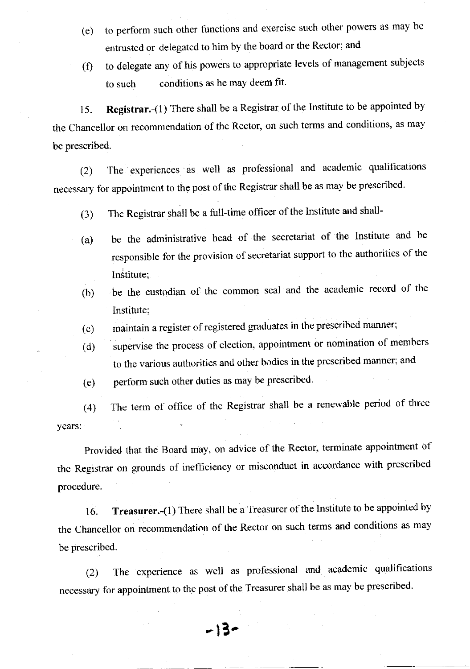- (e) to perform such other functions and exercise such other powers as may be entrusted or delegated to him by the board or the Rector; and
- (f) to delegate any of his powers to appropriate levels of management subjects to such conditions as he may deem fit.

15. Registrar.-(1) There shall be a Registrar of the Institute to be appointed by the Chancellor on recommendation of the Rector, on such terms and conditions, as may be prescribed.

(2) The experiences as well as professional and academic qualifications necessary for appointment to the post of the Registrar shatl be as may be prescribed.

- (3) The Registrar shall be a full-time officer of the Institute and shall-
- (a) be the administrative head of the secretariat of the Institute and be responsible for the provision of secretariat support to the authorities of the lnstitute:
- (b) be the custodian of the common seal and the academic record of the Institute;
- (c) maintain a register of registered graduates in the prescribed manner;
- (d) supervise the process of election, appointment or nomination of members to the various authorities and other bodies in the prescribed manner; and
- (e) perform such other duties as may be prescribed

(4) The term of office of the Registrar shall be a renewable period of three years:

Provided that the Board may, on advice of the Rector, terminate appointment of the Registrar on grounds of inefficiency or misconduct in accordance with prescribed procedure.

16. Treasurer.-(1) There shall be a Treasurer of the Institute to be appointed by the Chancellor on recommendation of the Rector on such terms and conditions as may be prescribed.

(2) The experience as well as professional and academic qualifications necessary for appointment to the post of the Treasurer shall be as may be prescribed.

- l3-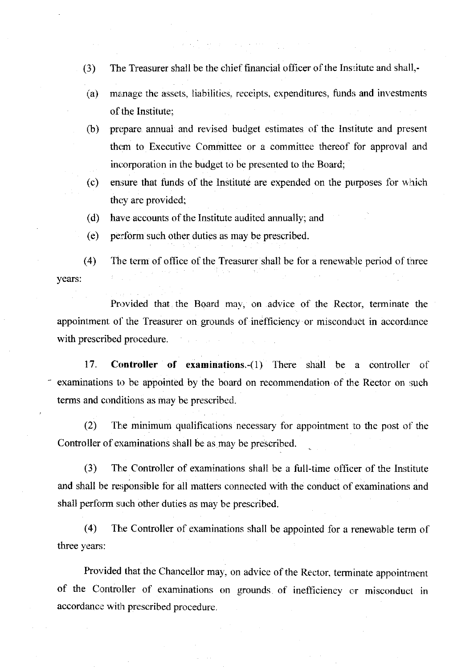- (3) The Treasurer shall be the chief financial officer of the Institute and shall,-
- (a) manage the assets, liabilities, receipts, expenditures, funds and investments of the Institute;
- (b) prepare annual and revised budget estimates of the Institute and present them to Executive Committee or a committee thereof for approval and incorporation in the budget to be presented to the Board;
- (c) ensure that funds of the lnstitute are expended on the purposes for which they are provided;
- have accounts of the Institute audited amually; and (d)
- perform such other duties as may be prescribed. (e)

 $(4)$  The term of office of the Treasurer shall be for a renewable period of three vears:

Provided that the Board may, on advice of the Rector, terminate the appointment of the Treasurer on grounds of inefficiency or misconduct in accordance with prescribed procedure.

17. **Controller of examinations.**-(1) There shall be a controller of examinations to be appointed by the board on recommendation of the Rector on such terms and conditions as may be prescribed.

(2) The minimum qualifications necessary for appointment to the post of the Controller of examinations shall be as may be prescribed.

(3) The Controller of examinations shall be a full-time officer of the Institute and shall be responsible for all matters connected with the conduct of examinations and shall perform such other duties as may be prescribed.

 $(4)$  The Controller of examinations shall be appointed for a renewable term of three years:

Provided that the Chancellor may, on advice of the Rector, terminate appointment of the controller of examinations on grounds of inefficiency cr misconduct in accordance with prescribed procedure.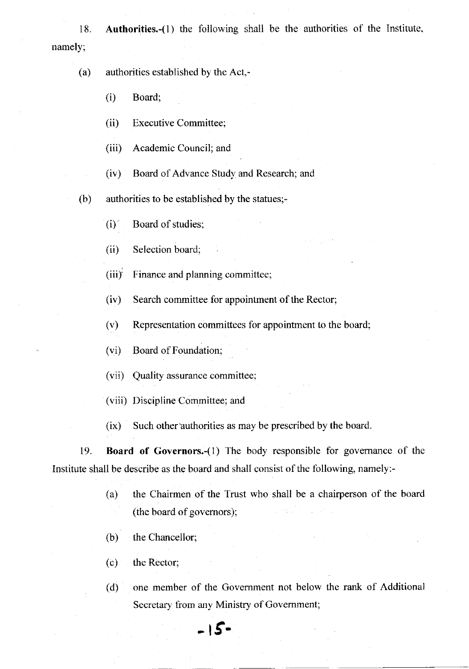18. Authorities.-(1) the following shall be the authorities of the Institute. namely;

## (a) authorities established by the Acr,-

(i) Board;

(ii) Executive Committee;

(iii) Academic Council; and

(iv) Board of Advance Study and Research; and

(b) authorities to be established by the statues;-

 $(i)$  Board of studies;

(ii) Selection board;

(iii)<sup> $\overrightarrow{r}$ </sup> Finance and planning committee;

 $(iv)$  Search committee for appointment of the Rector;

(v) Representation committees for appointment to the board;

(vi) Board of Foundation;

(vii) Quality assurance committee:

(viii) Discipline Committee; and

(ix) Such other authorities as may be prescribed by the board.

19. Board of Governors,-(1) The body responsible for govemance of the Institute shall be describe as the board and shall consist of the following, namely:-

> (a) the Chairmen of the Trust who shall be a chairperson of the board (the board of governors);

(b) the Chancellor;

(c) the Rector;

(d) one member of the Govemment not below the rank of Additional Secretary from any Ministry of Govemment;

 $-15$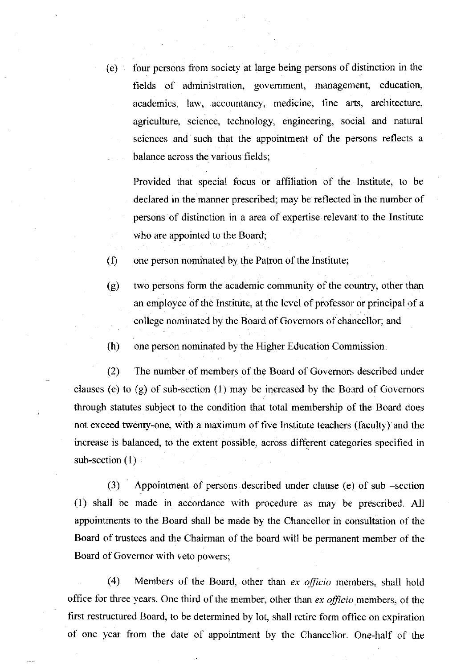$(e)$  four persons from society at large being persons of distinction in the fields of administration, government, management, education, academics, law, accountancy, medicine, fine arts, architecture. agriculture, science, technology, engineering, social and natural sciences and such that the appointment of the persons reflects a balance across the various fields;

Provided that special focus or affiliation of the Institute, to be declared in the manner prescribed; may be reflected in the number of persons of distinction in a area of expertise relevant to the Institute who are appointed to the Board;

 $(f)$  one person nominated by the Patron of the Institute;

(g) two persons form the academic community of the country, other than an employee of the Institute, at the level of professor or principal of a college nominated by the Board of Govemors of chancellor; and

(h) one person nominated by the Higher Education Commission

(2) The number of members of the Board of Governors described under clauses (e) to  $(g)$  of sub-section  $(1)$  may be increased by the Board of Governors through statutes subject to the condition that total membership of the Board does not exceed twenty-one, with a maximum of five Institute teachers (faculty) and the increase is balanced, to the extent possible, across different categories specified in sub-section  $(1)$ 

(3) Appointment of persons described under clause (e) of sub -secrion (1) shall oe made in accordance with procedure as may be prescribed. All appointments to the Board shall be made by the Chancellor in consultation of the Board of trustees and the Chairman of the board will be permanent member of the Board of Covemor with veto powers;

 $(4)$  Members of the Board, other than ex *officio* members, shall hold office for three years. One third of the member, other than ex officio members, of the first restructured Board, to be determined by lot, shall retire form office on expiration of one year from the date of appointment by the Chancellor. One-half of the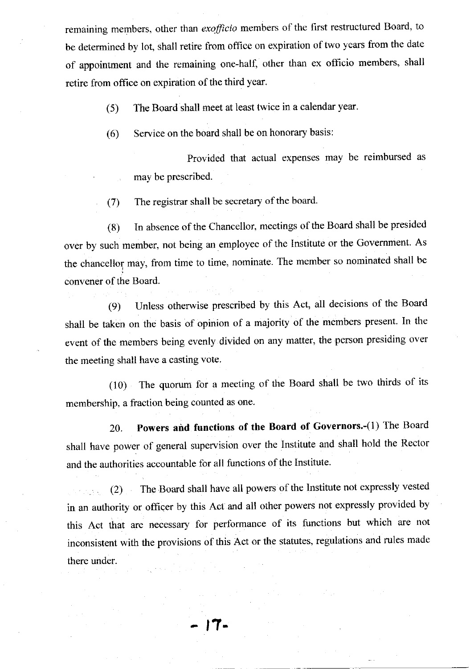remaining members, other than exofficio members of the first restructured Board, to be determined by lot, shall retire from office on expiration of two years from the date of appointment and the remaining one-half, other than ex officio members, shall retire from office on expiration of the third year.

(5) The Board shall meet at least twice in a calendar year.

(6) Service on the board shall be on honorary basis:

Provided that actual expenses may be reimbursed as may be prescribed.

(7) The registrar shall be secretary of the board.

(8) In absence ofthe Chancellor, meetings ofthe Board shall be presided over by such member, not being an employee of the Institute or the Govemment. As the chancellor may, from time to time, nominate. The member so nominated shall be convener of the Board.

(9) Unless otherwise prescribed by this Act, all decisions of the Board shall be taken on the basis of opinion of a majority of the members present. In the event of the members being evenly divided on any matter, the person presiding over the meeting shall have a casting vote.

 $(10)$  The quorum for a meeting of the Board shall be two thirds of its membership. a fraction being counted as one.

20. Powers and functions of the Board of Governors.-(1) The Board shall have power of general supervision over the Institute and shall hold the Rector and the authorities accountable for all functions of the Institute.

(2) The Board shall have all powers of the lnstitute not expressly vested in an authority or officer by this Act and all other powers not expressly provided by this Act that are necessary for performance of its functions but which are not inconsistent with the provisions of this Act or the statutes, regulations and rules made there under.

r7-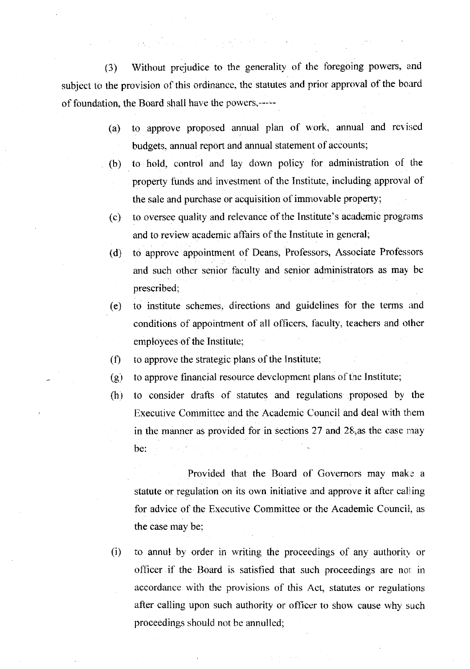(3) Without prejudice to the generality of the foregoing powers, and subject to the provision of this ordinance, the statutes and prior approval of the board of foundation, the Board shall have the powers,----

- (a) to approve proposed annual plan of work, annual and revised budgets. annual report and annual statement of accounts;
- (b) to hold, control and lay down policy for administration of the property funds and investment of the Institute, including approval of the sale and purchase or acquisition of immovable property;
- (c) to oversee quality and relevance of the Institute's academic programs. and to review academic affairs of the Institute in general;
- (d) to approve appointment of Deans, Professors, Associate Professors and such other senior faculty and senior administrators as may be prescribed;
- (e) to institute schemes. directions and guidelines for the terms imd conditions of appointment of all officers, faculty, teachers and olher employees of the Institute;
- $(f)$ to approve the strategic plans of the Institute;
- $(g)$ to approve financial resource development plans of the Institute;
- $(h)$ to consider dralts of statutes and regulations proposed by the Executive Committee and the Academic Council and deal with them in the manner as provided for in sections  $27$  and  $28$ , as the case may be:

Provided that the Board of Governors may make a statute or regulation on its own initiative and approve it after calling for advice of the Executive Committee or the Academic Council, as the case may be;

(i) to annul by order in writing the proceedings of any authoritv or officer if the Board is satisfied that such proceedings are nor in accordance with the provisions of this Act, statutes or regulations after calling upon such authority or officer to show cause why such proceedings should not be annulled;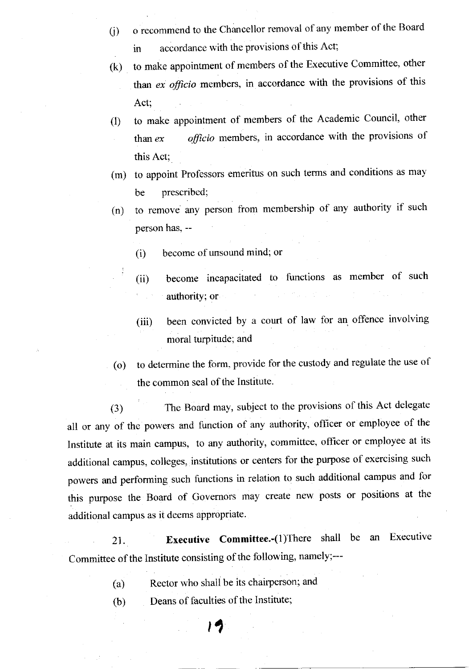- 0) o recommend to the Chancellor removal of any member of the Board in accordance with the provisions of this Act;
- (k) to make appointment of members of the Executive Committee, other than  $ex$  *officio* members, in accordance with the provisions of this Act;
- 0) to make appointment of members of the Academic Council, other than  $ex$  officio members, in accordance with the provisions of this Act;
- (m) to appoint Professors emeritus on such terms and conditions as may be prescribed;
- (n) to remove any person from membership of any authority if such person has, --
	- (i) become of unsound mind; or

 $\ddot{\ddot{\cdot}}$ 

- (ii) become incapacitated to functions as member of such authority; or
- (iii) been convicted by a court of law for an offence involving moral turpitude; and
- (o) to determine the form, provide for the custody and regulate the use of the common seal of the Institute.

(3) The Board may, subject to the provisions of this Act delegate all or any of the powers and function of any authority, officer or employee of the Institute at its main campus, to any authority, committee, officer or employee at its additional campus, colleges, institutions or centers for the purpose of exercising such powers and performing such functions in relation to such additional campus and for this purpose the Board of Govemors may create new posts or positions at the additional campus as it deems appropriate.

21. **Executive Committee.** (1) There shall be an Executive Committee of the Institute consisting of the following, namely;--

> Rector who shall be its chairperson; and (a)

> > 19

Deans of faculties of the Institute; (b)